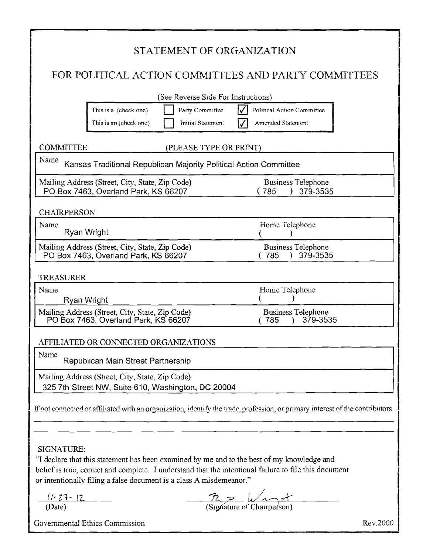| STATEMENT OF ORGANIZATION                                                                                                                                                                                                                                                                |                                                               |
|------------------------------------------------------------------------------------------------------------------------------------------------------------------------------------------------------------------------------------------------------------------------------------------|---------------------------------------------------------------|
| FOR POLITICAL ACTION COMMITTEES AND PARTY COMMITTEES                                                                                                                                                                                                                                     |                                                               |
| (See Reverse Side For Instructions)                                                                                                                                                                                                                                                      |                                                               |
| Party Committee<br>This is a (check one)<br><b>Initial Statement</b><br>This is an (check one)                                                                                                                                                                                           | Political Action Committee<br>Amended Statement               |
| <b>COMMITTEE</b><br>(PLEASE TYPE OR PRINT)                                                                                                                                                                                                                                               |                                                               |
| Name<br>Kansas Traditional Republican Majority Political Action Committee                                                                                                                                                                                                                |                                                               |
| Mailing Address (Street, City, State, Zip Code)<br>PO Box 7463, Overland Park, KS 66207                                                                                                                                                                                                  | <b>Business Telephone</b><br>379-3535<br>(785<br>λ.           |
| <b>CHAIRPERSON</b>                                                                                                                                                                                                                                                                       |                                                               |
| Name<br>Ryan Wright                                                                                                                                                                                                                                                                      | Home Telephone                                                |
| Mailing Address (Street, City, State, Zip Code)<br>PO Box 7463, Overland Park, KS 66207                                                                                                                                                                                                  | <b>Business Telephone</b><br>379-3535<br>(785                 |
| <b>TREASURER</b>                                                                                                                                                                                                                                                                         |                                                               |
| Name<br>Ryan Wright                                                                                                                                                                                                                                                                      | Home Telephone                                                |
| Mailing Address (Street, City, State, Zip Code)<br>PO Box 7463, Overland Park, KS 66207                                                                                                                                                                                                  | <b>Business Telephone</b><br>379-3535<br>(785                 |
| AFFILIATED OR CONNECTED ORGANIZATIONS                                                                                                                                                                                                                                                    |                                                               |
| Name<br>Republican Main Street Partnership                                                                                                                                                                                                                                               |                                                               |
| Mailing Address (Street, City, State, Zip Code)<br>325 7th Street NW, Suite 610, Washington, DC 20004                                                                                                                                                                                    |                                                               |
| If not connected or affiliated with an organization, identify the trade, profession, or primary interest of the contributors.                                                                                                                                                            |                                                               |
|                                                                                                                                                                                                                                                                                          |                                                               |
| SIGNATURE:<br>"I declare that this statement has been examined by me and to the best of my knowledge and<br>belief is true, correct and complete. I understand that the intentional failure to file this document<br>or intentionally filing a false document is a class A misdemeanor." |                                                               |
| $\frac{11-27-12}{(\text{Date})}$                                                                                                                                                                                                                                                         | $\frac{72}{\frac{9}{\text{Sig}}\times \frac{1}{\text{Sig}}}}$ |
| Governmental Ethics Commission                                                                                                                                                                                                                                                           | Rev.2000                                                      |